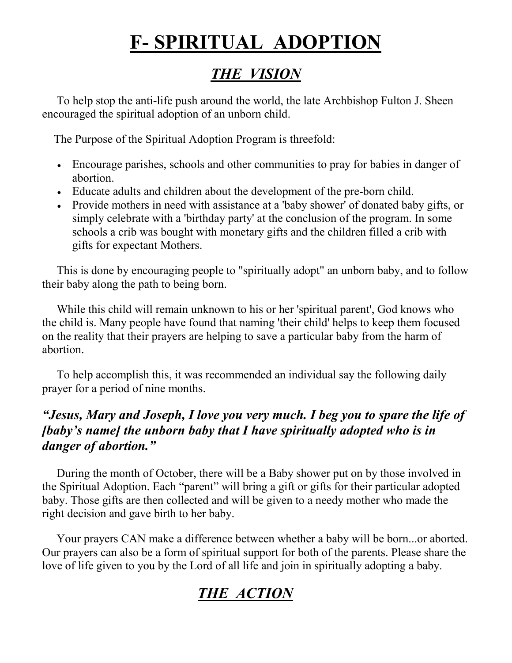## **F- SPIRITUAL ADOPTION**

## *THE VISION*

 To help stop the anti-life push around the world, the late Archbishop Fulton J. Sheen encouraged the spiritual adoption of an unborn child.

The Purpose of the Spiritual Adoption Program is threefold:

- Encourage parishes, schools and other communities to pray for babies in danger of abortion.
- Educate adults and children about the development of the pre-born child.
- Provide mothers in need with assistance at a 'baby shower' of donated baby gifts, or simply celebrate with a 'birthday party' at the conclusion of the program. In some schools a crib was bought with monetary gifts and the children filled a crib with gifts for expectant Mothers.

 This is done by encouraging people to "spiritually adopt" an unborn baby, and to follow their baby along the path to being born.

 While this child will remain unknown to his or her 'spiritual parent', God knows who the child is. Many people have found that naming 'their child' helps to keep them focused on the reality that their prayers are helping to save a particular baby from the harm of abortion.

 To help accomplish this, it was recommended an individual say the following daily prayer for a period of nine months.

## *"Jesus, Mary and Joseph, I love you very much. I beg you to spare the life of [baby's name] the unborn baby that I have spiritually adopted who is in danger of abortion."*

 During the month of October, there will be a Baby shower put on by those involved in the Spiritual Adoption. Each "parent" will bring a gift or gifts for their particular adopted baby. Those gifts are then collected and will be given to a needy mother who made the right decision and gave birth to her baby.

 Your prayers CAN make a difference between whether a baby will be born...or aborted. Our prayers can also be a form of spiritual support for both of the parents. Please share the love of life given to you by the Lord of all life and join in spiritually adopting a baby.

## *THE ACTION*